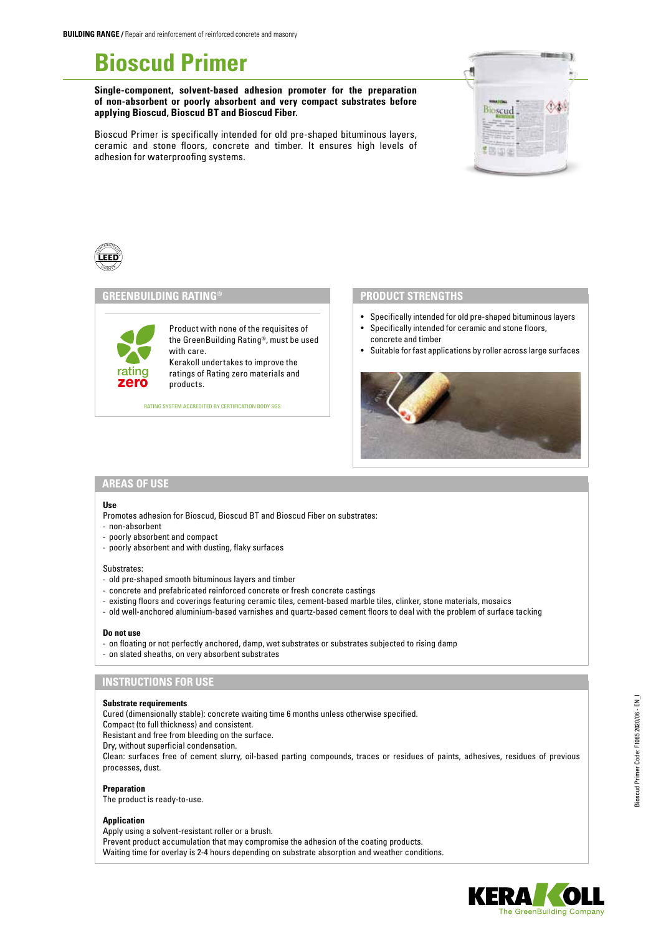# **Bioscud Primer**

**Single-component, solvent-based adhesion promoter for the preparation of non-absorbent or poorly absorbent and very compact substrates before applying Bioscud, Bioscud BT and Bioscud Fiber.** 

Bioscud Primer is specifically intended for old pre-shaped bituminous layers, ceramic and stone floors, concrete and timber. It ensures high levels of adhesion for waterproofing systems.





# **GREENBUILDING RATING®**

Product with none of the requisites of the GreenBuilding Rating®, must be used with care. Kerakoll undertakes to improve the ratings of Rating zero materials and products.

RATING SYSTEM ACCREDITED BY CERTIFICATION BODY SGS

#### **PRODUCT STRENGTHS**

- Specifically intended for old pre-shaped bituminous layers
- Specifically intended for ceramic and stone floors, concrete and timber
- Suitable for fast applications by roller across large surfaces



# **AREAS OF USE**

zero rating

#### **Use**

Promotes adhesion for Bioscud, Bioscud BT and Bioscud Fiber on substrates:

- non-absorbent
- poorly absorbent and compact
- poorly absorbent and with dusting, flaky surfaces

#### Substrates:

- old pre-shaped smooth bituminous layers and timber
- concrete and prefabricated reinforced concrete or fresh concrete castings
- existing floors and coverings featuring ceramic tiles, cement-based marble tiles, clinker, stone materials, mosaics
- old well-anchored aluminium-based varnishes and quartz-based cement floors to deal with the problem of surface tacking

#### **Do not use**

- on floating or not perfectly anchored, damp, wet substrates or substrates subjected to rising damp
- on slated sheaths, on very absorbent substrates

### **INSTRUCTIONS FOR USE**

#### **Substrate requirements**

Cured (dimensionally stable): concrete waiting time 6 months unless otherwise specified.

Compact (to full thickness) and consistent.

Resistant and free from bleeding on the surface.

Dry, without superficial condensation.

Clean: surfaces free of cement slurry, oil-based parting compounds, traces or residues of paints, adhesives, residues of previous processes, dust.

**Preparation**

The product is ready-to-use.

#### **Application**

Apply using a solvent-resistant roller or a brush. Prevent product accumulation that may compromise the adhesion of the coating products. Waiting time for overlay is 2-4 hours depending on substrate absorption and weather conditions.